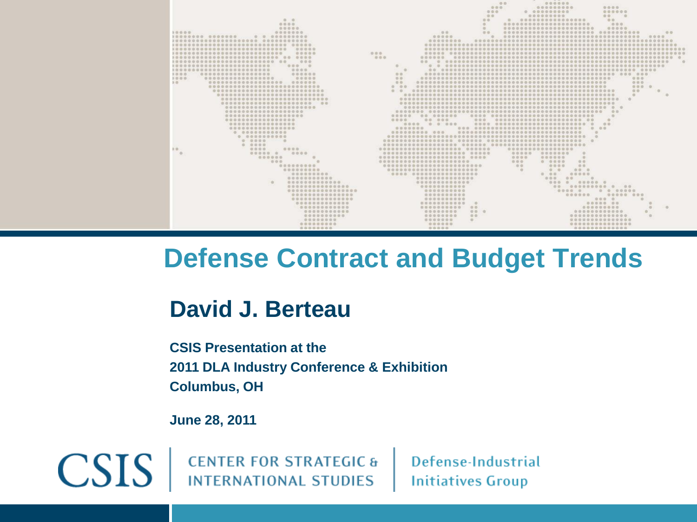

## **Defense Contract and Budget Trends**

## **David J. Berteau**

**CSIS Presentation at the 2011 DLA Industry Conference & Exhibition Columbus, OH**

**June 28, 2011**

 $CSIS$ 

**CENTER FOR STRATEGIC & INTERNATIONAL STUDIES** 

Defense-Industrial **Initiatives Group**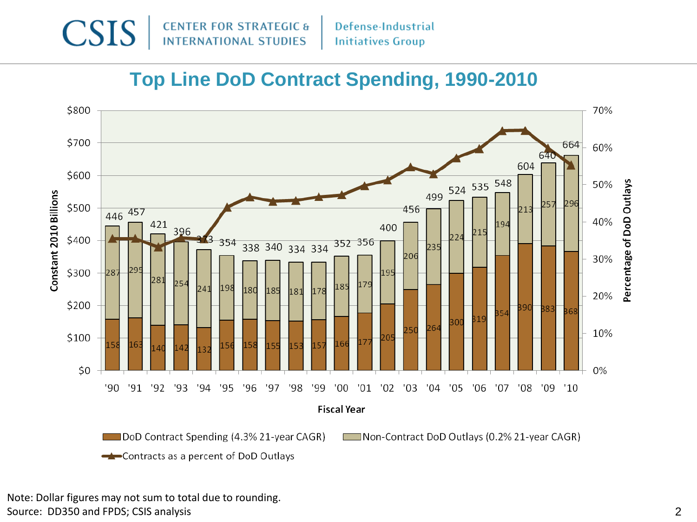

#### **Top Line DoD Contract Spending, 1990-2010**



Note: Dollar figures may not sum to total due to rounding. Source: DD350 and FPDS; CSIS analysis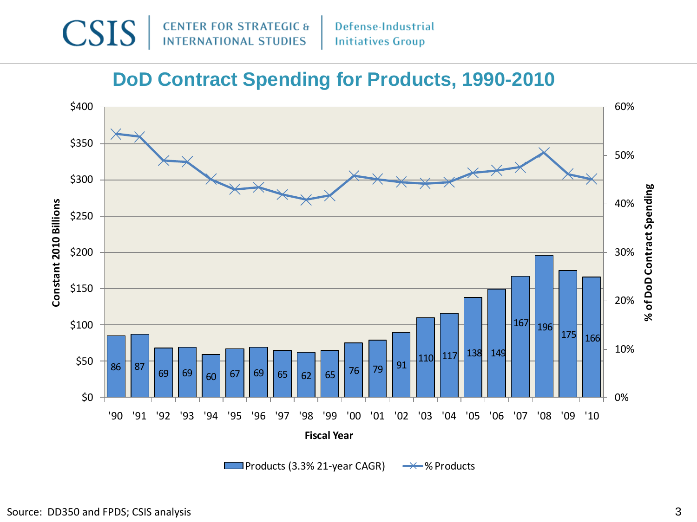

#### **DoD Contract Spending for Products, 1990-2010**

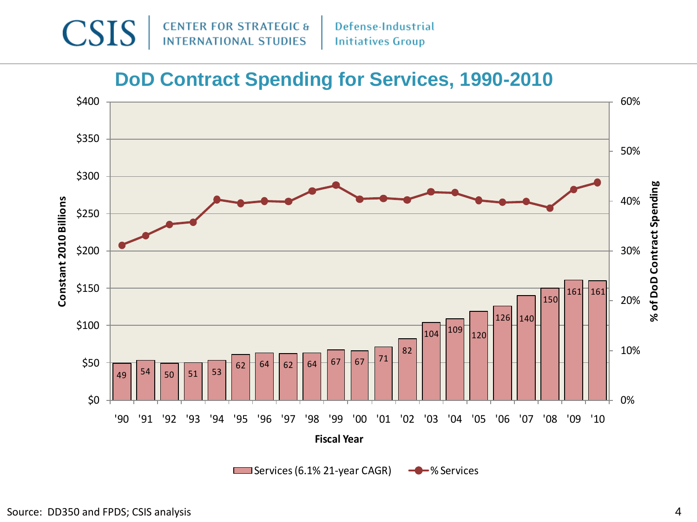

#### **DoD Contract Spending for Services, 1990-2010**

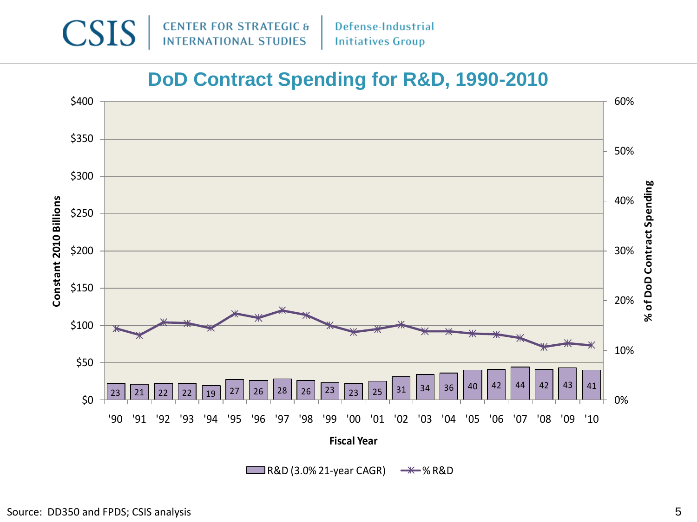

#### **DoD Contract Spending for R&D, 1990-2010**

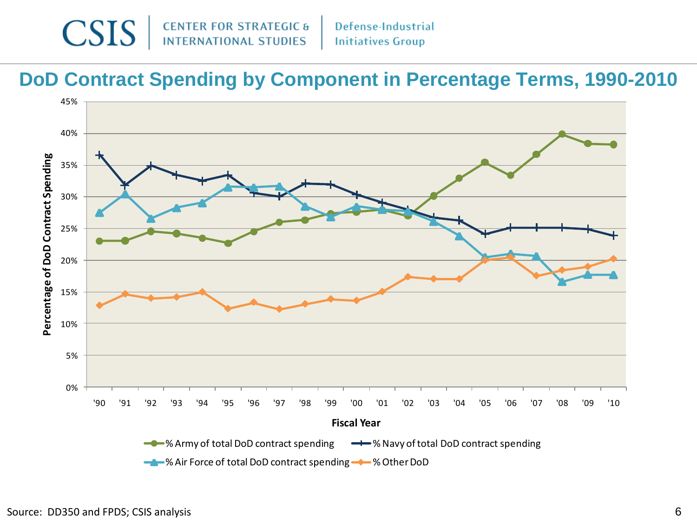

#### **DoD Contract Spending by Component in Percentage Terms, 1990-2010**

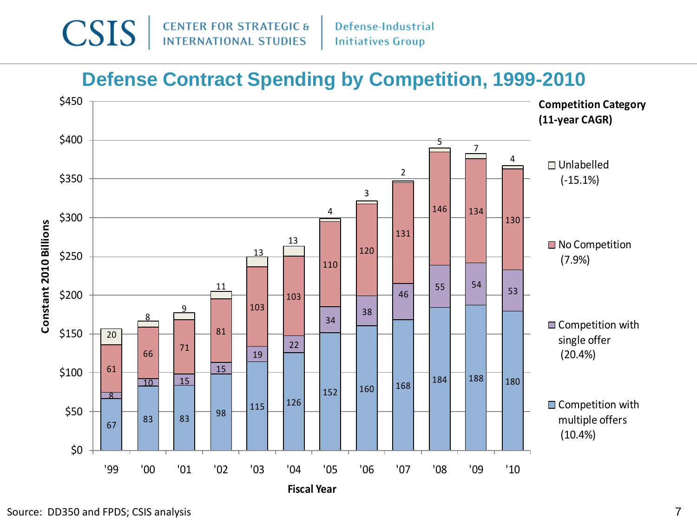

#### **Defense Contract Spending by Competition, 1999-2010**

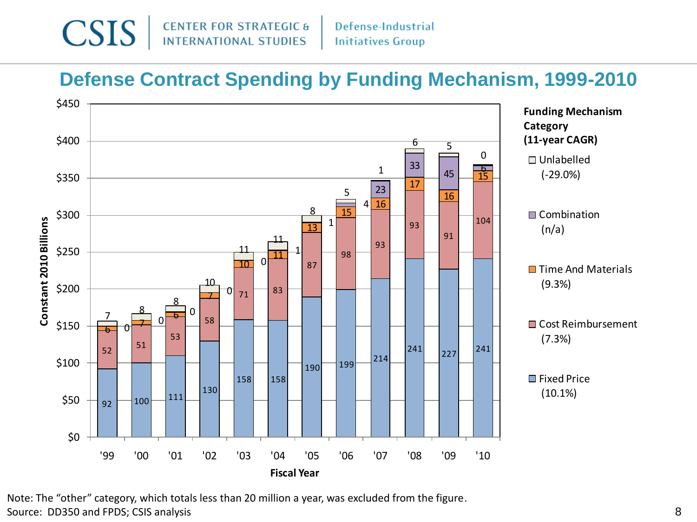

#### **Defense Contract Spending by Funding Mechanism, 1999-2010**



Note: The "other" category, which totals less than 20 million a year, was excluded from the figure.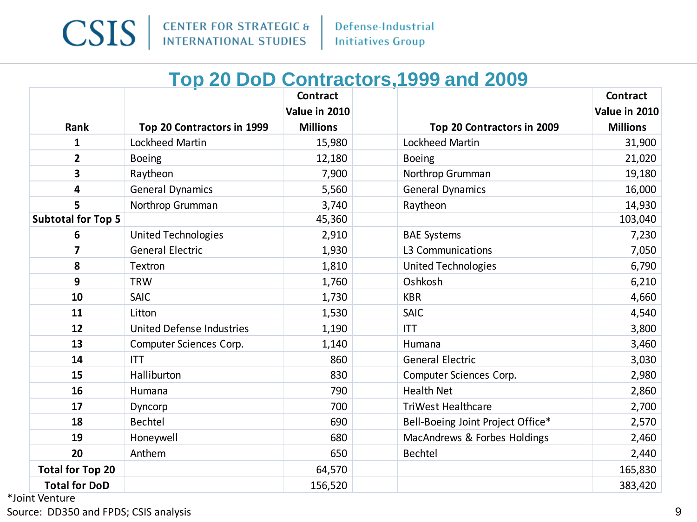

#### **Top 20 DoD Contractors,1999 and 2009**

|                                                       |                                  | <b>Contract</b>                  |                                   | Contract                         |
|-------------------------------------------------------|----------------------------------|----------------------------------|-----------------------------------|----------------------------------|
| Rank                                                  | Top 20 Contractors in 1999       | Value in 2010<br><b>Millions</b> | Top 20 Contractors in 2009        | Value in 2010<br><b>Millions</b> |
| 1                                                     | <b>Lockheed Martin</b>           | 15,980                           | <b>Lockheed Martin</b>            | 31,900                           |
| $\overline{2}$                                        | <b>Boeing</b>                    | 12,180                           | <b>Boeing</b>                     | 21,020                           |
| 3                                                     | Raytheon                         | 7,900                            | Northrop Grumman                  | 19,180                           |
| 4                                                     | <b>General Dynamics</b>          | 5,560                            | <b>General Dynamics</b>           | 16,000                           |
| 5                                                     | Northrop Grumman                 | 3,740                            | Raytheon                          | 14,930                           |
| <b>Subtotal for Top 5</b>                             |                                  | 45,360                           |                                   | 103,040                          |
| 6                                                     | <b>United Technologies</b>       | 2,910                            | <b>BAE Systems</b>                | 7,230                            |
| 7                                                     | <b>General Electric</b>          | 1,930                            | L3 Communications                 | 7,050                            |
| 8                                                     | Textron                          | 1,810                            | <b>United Technologies</b>        | 6,790                            |
| 9                                                     | <b>TRW</b>                       | 1,760                            | Oshkosh                           | 6,210                            |
| 10                                                    | <b>SAIC</b>                      | 1,730                            | <b>KBR</b>                        | 4,660                            |
| 11                                                    | Litton                           | 1,530                            | <b>SAIC</b>                       | 4,540                            |
| 12                                                    | <b>United Defense Industries</b> | 1,190                            | <b>ITT</b>                        | 3,800                            |
| 13                                                    | Computer Sciences Corp.          | 1,140                            | Humana                            | 3,460                            |
| 14                                                    | <b>ITT</b>                       | 860                              | <b>General Electric</b>           | 3,030                            |
| 15                                                    | Halliburton                      | 830                              | Computer Sciences Corp.           | 2,980                            |
| 16                                                    | Humana                           | 790                              | <b>Health Net</b>                 | 2,860                            |
| 17                                                    | Dyncorp                          | 700                              | <b>TriWest Healthcare</b>         | 2,700                            |
| 18                                                    | <b>Bechtel</b>                   | 690                              | Bell-Boeing Joint Project Office* | 2,570                            |
| 19                                                    | Honeywell                        | 680                              | MacAndrews & Forbes Holdings      | 2,460                            |
|                                                       |                                  |                                  |                                   |                                  |
|                                                       |                                  |                                  |                                   |                                  |
|                                                       |                                  |                                  |                                   |                                  |
| 20<br><b>Total for Top 20</b><br><b>Total for DoD</b> | Anthem                           | 650<br>64,570<br>156,520         | <b>Bechtel</b>                    | 2,440<br>165,830<br>383,420      |

\*Joint Venture

Source: DD350 and FPDS; CSIS analysis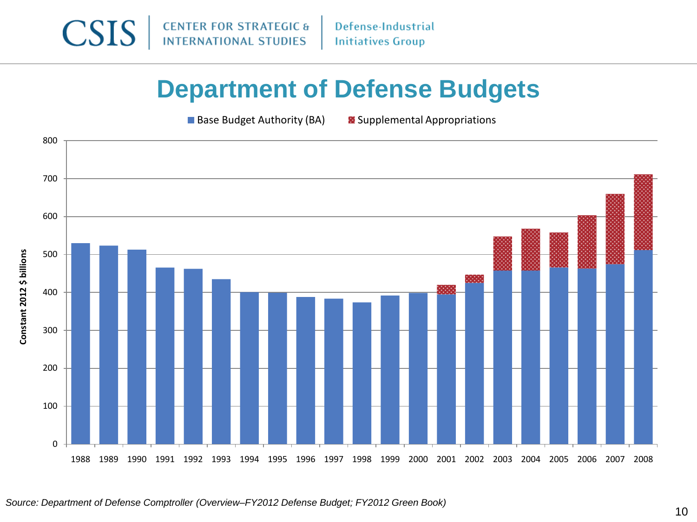

Defense-Industrial **Initiatives Group** 

## **Department of Defense Budgets**

**Base Budget Authority (BA)**  $\bullet$  Supplemental Appropriations

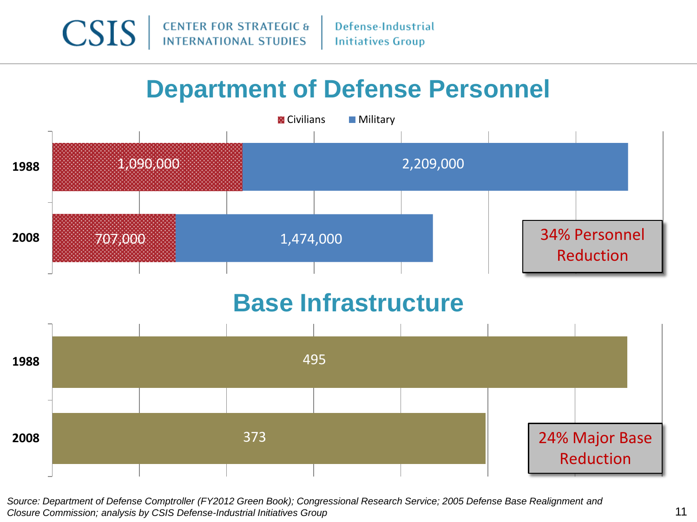

## **Department of Defense Personnel**



*Source: Department of Defense Comptroller (FY2012 Green Book); Congressional Research Service; 2005 Defense Base Realignment and Closure Commission; analysis by CSIS Defense-Industrial Initiatives Group*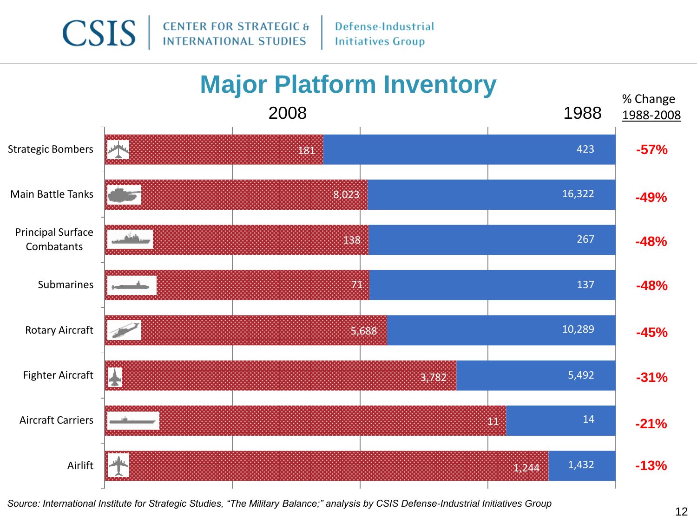**CSIS CENTER FOR STRATEGIC & INTERNATIONAL STUDIES** 

Defense-Industrial **Initiatives Group** 



*Source: International Institute for Strategic Studies, "The Military Balance;" analysis by CSIS Defense-Industrial Initiatives Group*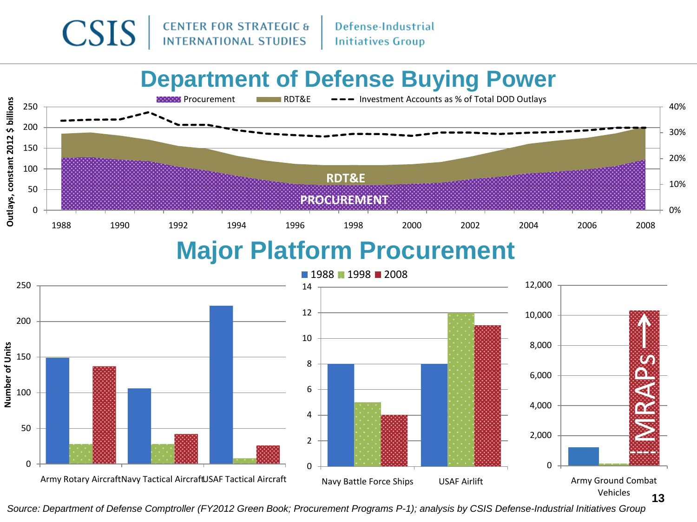

Defense-Industrial **Initiatives Group** 

## **Department of Defense Buying Power**



### **Major Platform Procurement**



*Source: Department of Defense Comptroller (FY2012 Green Book; Procurement Programs P-1); analysis by CSIS Defense-Industrial Initiatives Group*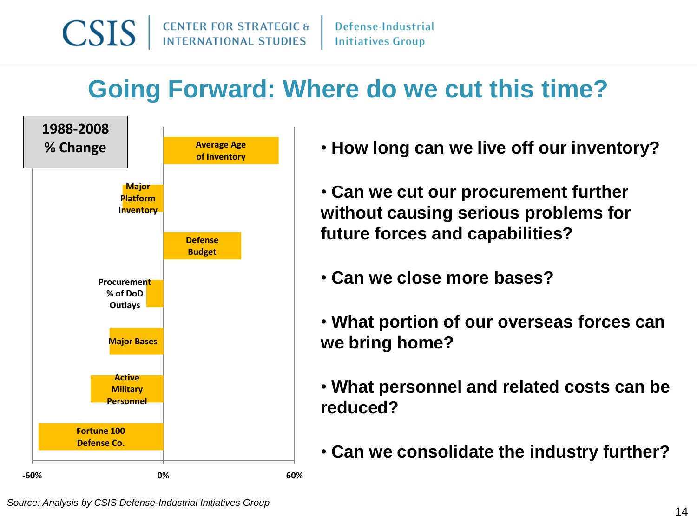

## **Going Forward: Where do we cut this time?**



- **How long can we live off our inventory?**
- **Can we cut our procurement further without causing serious problems for future forces and capabilities?**
- **Can we close more bases?**
- **What portion of our overseas forces can we bring home?**
- **What personnel and related costs can be reduced?**
- **Can we consolidate the industry further?**